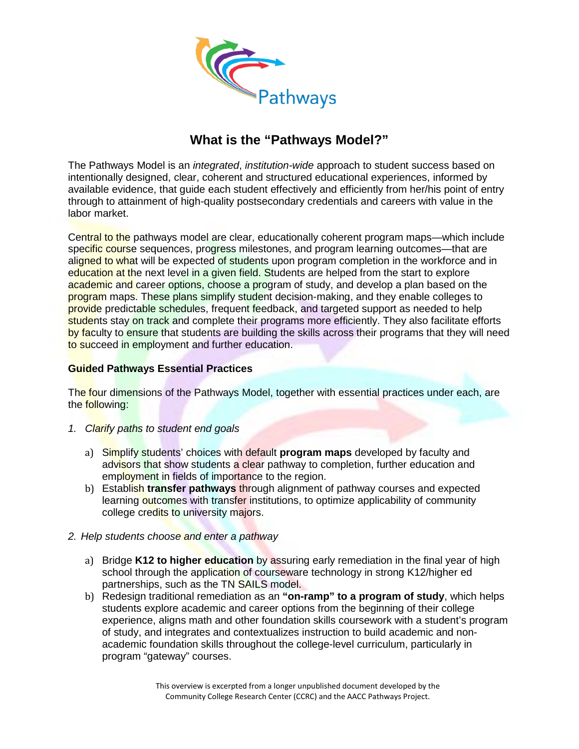

## **What is the "Pathways Model?"**

The Pathways Model is an *integrated*, *institution-wide* approach to student success based on intentionally designed, clear, coherent and structured educational experiences, informed by available evidence, that guide each student effectively and efficiently from her/his point of entry through to attainment of high-quality postsecondary credentials and careers with value in the labor market.

Central to the pathways model are clear, educationally coherent program maps—which include specific course sequences, progress milestones, and program learning outcomes—that are aligned to what will be expected of students upon program completion in the workforce and in education at the next level in a given field. Students are helped from the start to explore academic and career options, choose a program of study, and develop a plan based on the program maps. These plans simplify student decision-making, and they enable colleges to provide predictable schedules, frequent feedback, and targeted support as needed to help students stay on track and complete their programs more efficiently. They also facilitate efforts by faculty to ensure that students are building the skills across their programs that they will need to succeed in employment and further education.

## **Guided Pathways Essential Practices**

The four dimensions of the Pathways Model, together with essential practices under each, are the following:

- *1. Clarify paths to student end goals*
	- a) Simplify students' choices with default **program maps** developed by faculty and advisors that show students a clear pathway to completion, further education and employment in fields of importance to the region.
	- b) Establish **transfer pathways** through alignment of pathway courses and expected learning outcomes with transfer institutions, to optimize applicability of community college credits to university majors.
- *2. Help students choose and enter a pathway*
	- a) Bridge **K12 to higher education** by assuring early remediation in the final year of high school through the application of courseware technology in strong K12/higher ed partnerships, such as the TN SAILS model.
	- b) Redesign traditional remediation as an **"on-ramp" to a program of study**, which helps students explore academic and career options from the beginning of their college experience, aligns math and other foundation skills coursework with a student's program of study, and integrates and contextualizes instruction to build academic and nonacademic foundation skills throughout the college-level curriculum, particularly in program "gateway" courses.